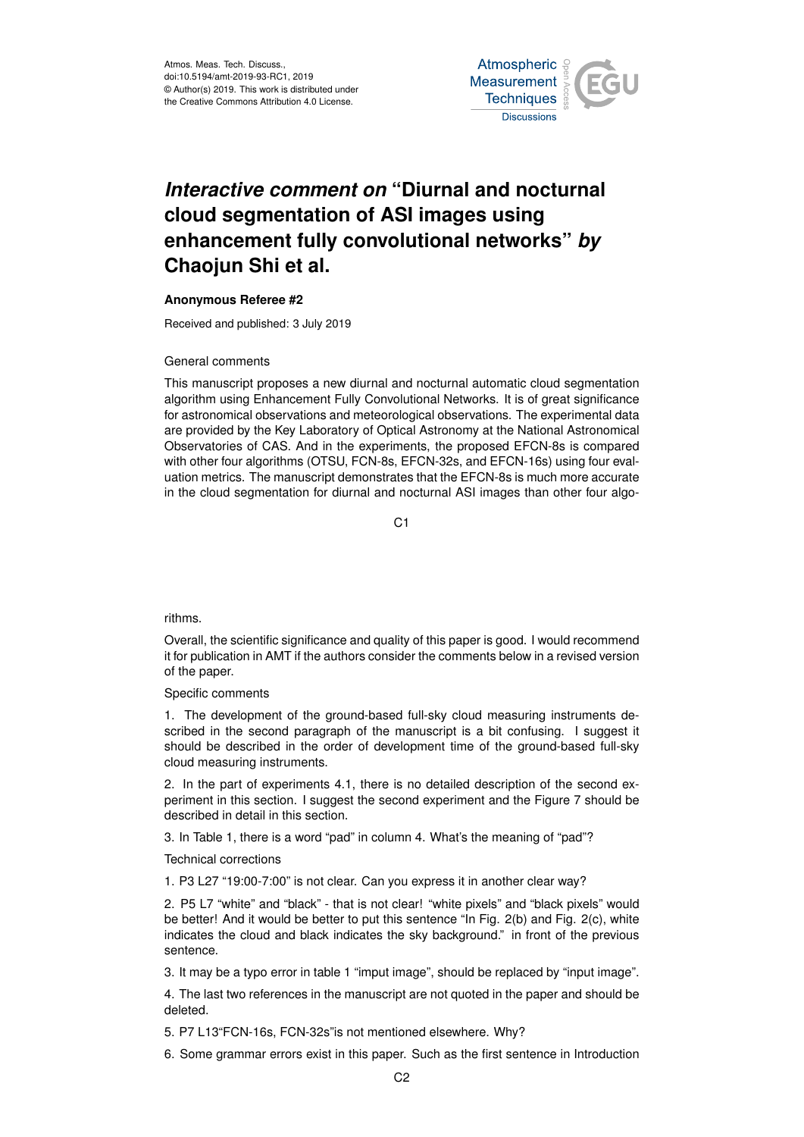Atmos. Meas. Tech. Discuss., doi:10.5194/amt-2019-93-RC1, 2019 © Author(s) 2019. This work is distributed under the Creative Commons Attribution 4.0 License.



## *Interactive comment on* **"Diurnal and nocturnal cloud segmentation of ASI images using enhancement fully convolutional networks"** *by* **Chaojun Shi et al.**

## **Anonymous Referee #2**

Received and published: 3 July 2019

## General comments

This manuscript proposes a new diurnal and nocturnal automatic cloud segmentation algorithm using Enhancement Fully Convolutional Networks. It is of great significance for astronomical observations and meteorological observations. The experimental data are provided by the Key Laboratory of Optical Astronomy at the National Astronomical Observatories of CAS. And in the experiments, the proposed EFCN-8s is compared with other four algorithms (OTSU, FCN-8s, EFCN-32s, and EFCN-16s) using four evaluation metrics. The manuscript demonstrates that the EFCN-8s is much more accurate in the cloud segmentation for diurnal and nocturnal ASI images than other four algo-

 $C<sub>1</sub>$ 

## rithms.

Overall, the scientific significance and quality of this paper is good. I would recommend it for publication in AMT if the authors consider the comments below in a revised version of the paper.

Specific comments

1. The development of the ground-based full-sky cloud measuring instruments described in the second paragraph of the manuscript is a bit confusing. I suggest it should be described in the order of development time of the ground-based full-sky cloud measuring instruments.

2. In the part of experiments 4.1, there is no detailed description of the second experiment in this section. I suggest the second experiment and the Figure 7 should be described in detail in this section.

3. In Table 1, there is a word "pad" in column 4. What's the meaning of "pad"?

Technical corrections

1. P3 L27 "19:00-7:00" is not clear. Can you express it in another clear way?

2. P5 L7 "white" and "black" - that is not clear! "white pixels" and "black pixels" would be better! And it would be better to put this sentence "In Fig. 2(b) and Fig. 2(c), white indicates the cloud and black indicates the sky background." in front of the previous sentence.

3. It may be a typo error in table 1 "imput image", should be replaced by "input image".

4. The last two references in the manuscript are not quoted in the paper and should be deleted.

5. P7 L13"FCN-16s, FCN-32s"is not mentioned elsewhere. Why?

6. Some grammar errors exist in this paper. Such as the first sentence in Introduction